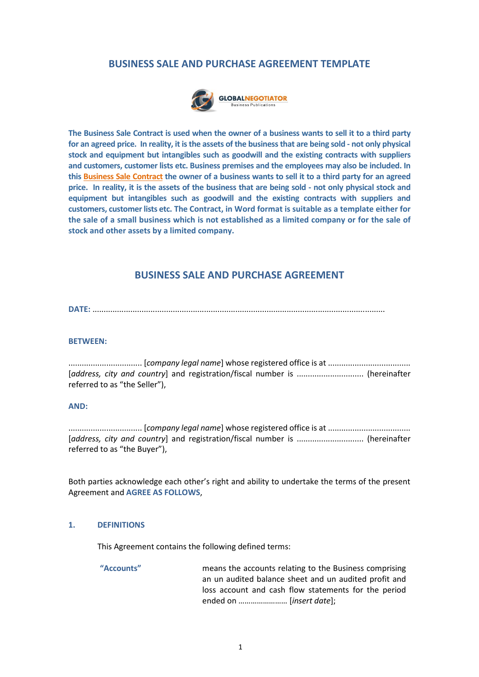#### **BUSINESS SALE AND PURCHASE AGREEMENT TEMPLATE**



**The Business Sale Contract is used when the owner of a business wants to sell it to a third party for an agreed price. In reality, it is the assets of the business that are being sold - not only physical stock and equipment but intangibles such as goodwill and the existing contracts with suppliers and customers, customer lists etc. Business premises and the employees may also be included. In this Business Sale Contra[ct the owner of a busines](http://www.globalnegotiator.com/en/business-sale-and-purchase-agreement-contract-template)s wants to sell it to a third party for an agreed price. In reality, it is the assets of the business that are being sold - not only physical stock and equipment but intangibles such as goodwill and the existing contracts with suppliers and customers, customer lists etc. The Contract, in Word format is suitable as a template either for the sale of a small business which is not established as a limited company or for the sale of stock and other assets by a limited company.** 

#### **BUSINESS SALE AND PURCHASE AGREEMENT**

**DATE:** ...................................................................................................................................

#### **BETWEEN:**

................................. [*company legal name*] whose registered office is at ..................................... [*address, city and country*] and registration/fiscal number is .............................. (hereinafter referred to as "the Seller"),

#### **AND:**

................................. [*company legal name*] whose registered office is at ..................................... [*address, city and country*] and registration/fiscal number is .............................. (hereinafter referred to as "the Buyer"),

Both parties acknowledge each other's right and ability to undertake the terms of the present Agreement and **AGREE AS FOLLOWS**,

#### **1. DEFINITIONS**

This Agreement contains the following defined terms:

**"Accounts"** means the accounts relating to the Business comprising an un audited balance sheet and un audited profit and loss account and cash flow statements for the period ended on …………………… [*insert date*];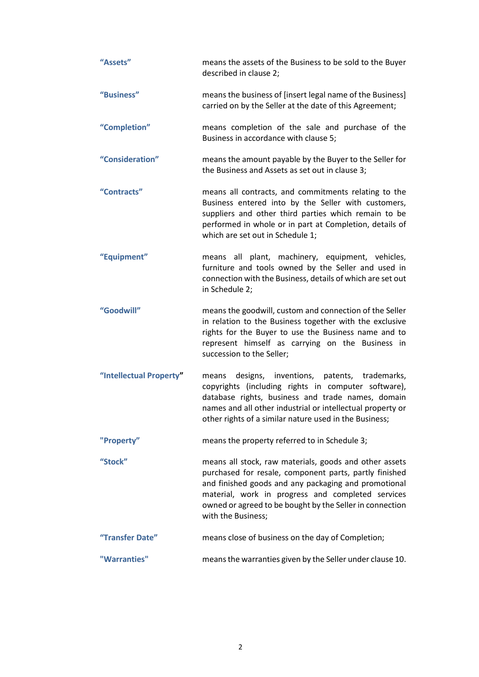| "Assets"                | means the assets of the Business to be sold to the Buyer<br>described in clause 2;                                                                                                                                                                                                                              |
|-------------------------|-----------------------------------------------------------------------------------------------------------------------------------------------------------------------------------------------------------------------------------------------------------------------------------------------------------------|
| "Business"              | means the business of [insert legal name of the Business]<br>carried on by the Seller at the date of this Agreement;                                                                                                                                                                                            |
| "Completion"            | means completion of the sale and purchase of the<br>Business in accordance with clause 5;                                                                                                                                                                                                                       |
| "Consideration"         | means the amount payable by the Buyer to the Seller for<br>the Business and Assets as set out in clause 3;                                                                                                                                                                                                      |
| "Contracts"             | means all contracts, and commitments relating to the<br>Business entered into by the Seller with customers,<br>suppliers and other third parties which remain to be<br>performed in whole or in part at Completion, details of<br>which are set out in Schedule 1;                                              |
| "Equipment"             | means all plant, machinery, equipment, vehicles,<br>furniture and tools owned by the Seller and used in<br>connection with the Business, details of which are set out<br>in Schedule 2;                                                                                                                         |
| "Goodwill"              | means the goodwill, custom and connection of the Seller<br>in relation to the Business together with the exclusive<br>rights for the Buyer to use the Business name and to<br>represent himself as carrying on the Business in<br>succession to the Seller;                                                     |
| "Intellectual Property" | designs, inventions, patents, trademarks,<br>means<br>copyrights (including rights in computer software),<br>database rights, business and trade names, domain<br>names and all other industrial or intellectual property or<br>other rights of a similar nature used in the Business;                          |
| "Property"              | means the property referred to in Schedule 3;                                                                                                                                                                                                                                                                   |
| "Stock"                 | means all stock, raw materials, goods and other assets<br>purchased for resale, component parts, partly finished<br>and finished goods and any packaging and promotional<br>material, work in progress and completed services<br>owned or agreed to be bought by the Seller in connection<br>with the Business; |
| "Transfer Date"         | means close of business on the day of Completion;                                                                                                                                                                                                                                                               |
| "Warranties"            | means the warranties given by the Seller under clause 10.                                                                                                                                                                                                                                                       |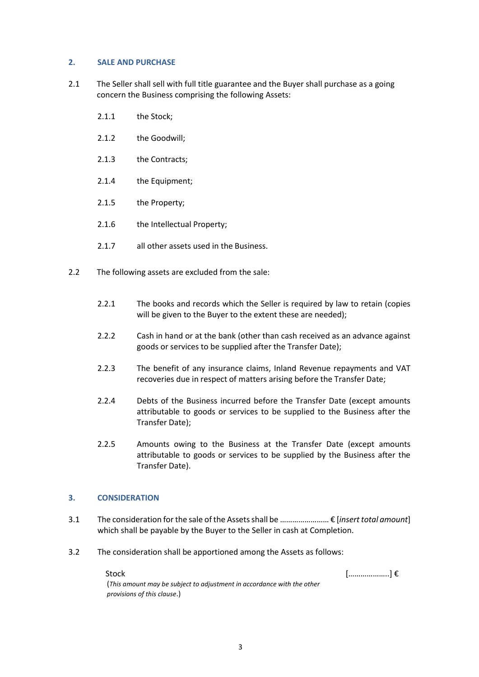#### **2. SALE AND PURCHASE**

- 2.1 The Seller shall sell with full title guarantee and the Buyer shall purchase as a going concern the Business comprising the following Assets:
	- 2.1.1 the Stock;
	- 2.1.2 the Goodwill;
	- 2.1.3 the Contracts;
	- 2.1.4 the Equipment;
	- 2.1.5 the Property;
	- 2.1.6 the Intellectual Property;
	- 2.1.7 all other assets used in the Business.
- 2.2 The following assets are excluded from the sale:
	- 2.2.1 The books and records which the Seller is required by law to retain (copies will be given to the Buyer to the extent these are needed);
	- 2.2.2 Cash in hand or at the bank (other than cash received as an advance against goods or services to be supplied after the Transfer Date);
	- 2.2.3 The benefit of any insurance claims, Inland Revenue repayments and VAT recoveries due in respect of matters arising before the Transfer Date;
	- 2.2.4 Debts of the Business incurred before the Transfer Date (except amounts attributable to goods or services to be supplied to the Business after the Transfer Date);
	- 2.2.5 Amounts owing to the Business at the Transfer Date (except amounts attributable to goods or services to be supplied by the Business after the Transfer Date).

#### **3. CONSIDERATION**

- 3.1 The consideration for the sale of the Assets shall be …………………… € [*insert total amount*] which shall be payable by the Buyer to the Seller in cash at Completion.
- 3.2 The consideration shall be apportioned among the Assets as follows:

Stock  $[\dots \dots \dots \dots]$ 

| (This amount may be subject to adjustment in accordance with the other |  |
|------------------------------------------------------------------------|--|
| provisions of this clause.)                                            |  |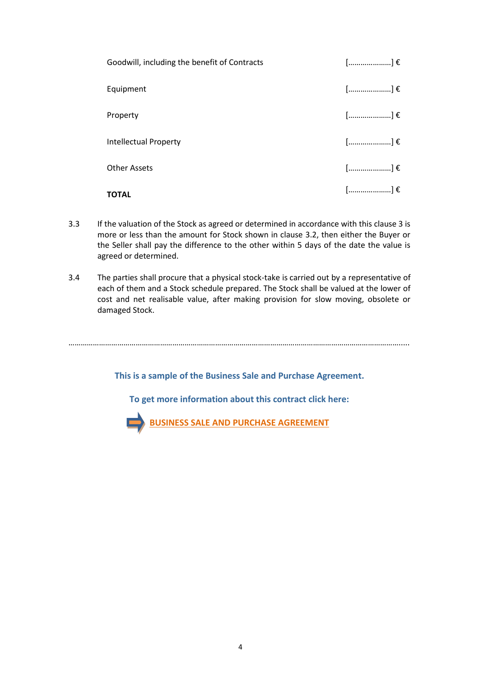| Goodwill, including the benefit of Contracts | $[$ ] $\epsilon$                                                     |
|----------------------------------------------|----------------------------------------------------------------------|
| Equipment                                    | $[$ ] $\epsilon$                                                     |
| Property                                     | $[$ ] $\epsilon$                                                     |
| <b>Intellectual Property</b>                 | $\left[\ldots\ldots\ldots\ldots\ldots\ldots\right]\mathbf{\epsilon}$ |
| <b>Other Assets</b>                          | $[$ ] $\epsilon$                                                     |
| <b>TOTAL</b>                                 | $[$ ] $\epsilon$                                                     |

- 3.3 If the valuation of the Stock as agreed or determined in accordance with this clause 3 is more or less than the amount for Stock shown in clause 3.2, then either the Buyer or the Seller shall pay the difference to the other within 5 days of the date the value is agreed or determined.
- 3.4 The parties shall procure that a physical stock-take is carried out by a representative of each of them and a Stock schedule prepared. The Stock shall be valued at the lower of cost and net realisable value, after making provision for slow moving, obsolete or damaged Stock.

**This is a sample of the Business Sale and Purchase Agreement.**

……………………………………………………………………………………………………………………………………………….....

**To get more information about this contract click here:**

**[BUSINESS SALE AND PURCHASE AGREEMENT](http://www.globalnegotiator.com/en/business-sale-and-purchase-agreement-contract-template)**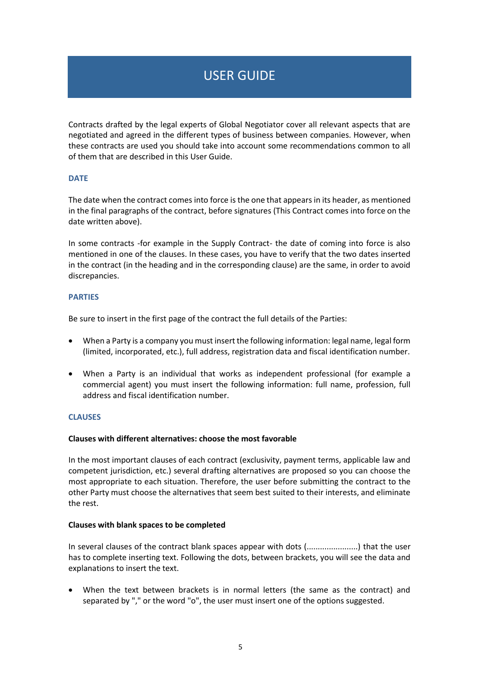### USER GUIDE

Contracts drafted by the legal experts of Global Negotiator cover all relevant aspects that are negotiated and agreed in the different types of business between companies. However, when these contracts are used you should take into account some recommendations common to all of them that are described in this User Guide.

#### **DATE**

The date when the contract comes into force is the one that appears in its header, as mentioned in the final paragraphs of the contract, before signatures (This Contract comes into force on the date written above).

In some contracts -for example in the Supply Contract- the date of coming into force is also mentioned in one of the clauses. In these cases, you have to verify that the two dates inserted in the contract (in the heading and in the corresponding clause) are the same, in order to avoid discrepancies.

#### **PARTIES**

Be sure to insert in the first page of the contract the full details of the Parties:

- When a Party is a company you must insert the following information: legal name, legal form (limited, incorporated, etc.), full address, registration data and fiscal identification number.
- When a Party is an individual that works as independent professional (for example a commercial agent) you must insert the following information: full name, profession, full address and fiscal identification number.

#### **CLAUSES**

#### **Clauses with different alternatives: choose the most favorable**

In the most important clauses of each contract (exclusivity, payment terms, applicable law and competent jurisdiction, etc.) several drafting alternatives are proposed so you can choose the most appropriate to each situation. Therefore, the user before submitting the contract to the other Party must choose the alternatives that seem best suited to their interests, and eliminate the rest.

#### **Clauses with blank spaces to be completed**

In several clauses of the contract blank spaces appear with dots (.......................) that the user has to complete inserting text. Following the dots, between brackets, you will see the data and explanations to insert the text.

 When the text between brackets is in normal letters (the same as the contract) and separated by "," or the word "o", the user must insert one of the options suggested.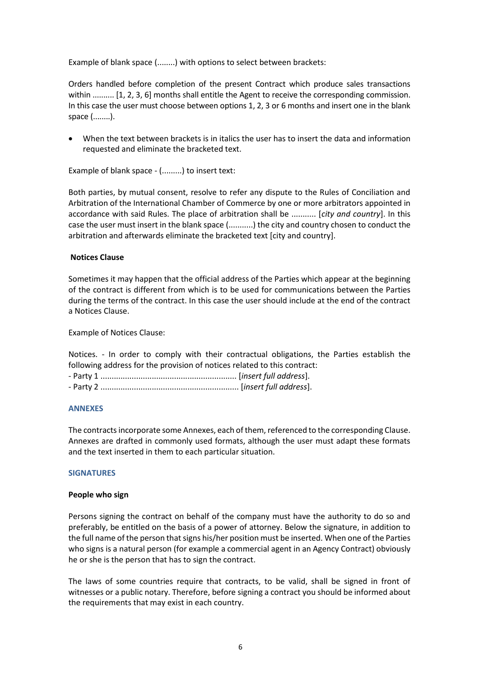Example of blank space (........) with options to select between brackets:

Orders handled before completion of the present Contract which produce sales transactions within  $\ldots$ ........ [1, 2, 3, 6] months shall entitle the Agent to receive the corresponding commission. In this case the user must choose between options 1, 2, 3 or 6 months and insert one in the blank space (........).

 When the text between brackets is in italics the user has to insert the data and information requested and eliminate the bracketed text.

Example of blank space - (.........) to insert text:

Both parties, by mutual consent, resolve to refer any dispute to the Rules of Conciliation and Arbitration of the International Chamber of Commerce by one or more arbitrators appointed in accordance with said Rules. The place of arbitration shall be ........... [*city and country*]. In this case the user must insert in the blank space (...........) the city and country chosen to conduct the arbitration and afterwards eliminate the bracketed text [city and country].

#### **Notices Clause**

Sometimes it may happen that the official address of the Parties which appear at the beginning of the contract is different from which is to be used for communications between the Parties during the terms of the contract. In this case the user should include at the end of the contract a Notices Clause.

Example of Notices Clause:

Notices. - In order to comply with their contractual obligations, the Parties establish the following address for the provision of notices related to this contract:

- Party 1 ............................................................. [*insert full address*].

- Party 2 .............................................................. [*insert full address*].

#### **ANNEXES**

The contracts incorporate some Annexes, each of them, referenced to the corresponding Clause. Annexes are drafted in commonly used formats, although the user must adapt these formats and the text inserted in them to each particular situation.

#### **SIGNATURES**

#### **People who sign**

Persons signing the contract on behalf of the company must have the authority to do so and preferably, be entitled on the basis of a power of attorney. Below the signature, in addition to the full name of the person that signs his/her position must be inserted. When one of the Parties who signs is a natural person (for example a commercial agent in an Agency Contract) obviously he or she is the person that has to sign the contract.

The laws of some countries require that contracts, to be valid, shall be signed in front of witnesses or a public notary. Therefore, before signing a contract you should be informed about the requirements that may exist in each country.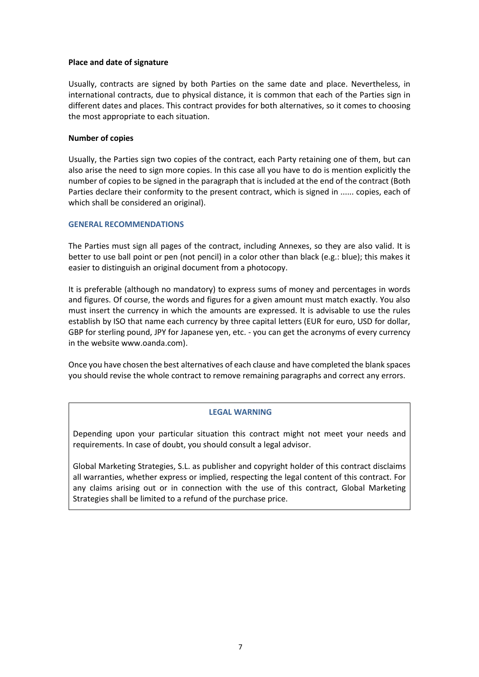#### **Place and date of signature**

Usually, contracts are signed by both Parties on the same date and place. Nevertheless, in international contracts, due to physical distance, it is common that each of the Parties sign in different dates and places. This contract provides for both alternatives, so it comes to choosing the most appropriate to each situation.

#### **Number of copies**

Usually, the Parties sign two copies of the contract, each Party retaining one of them, but can also arise the need to sign more copies. In this case all you have to do is mention explicitly the number of copies to be signed in the paragraph that is included at the end of the contract (Both Parties declare their conformity to the present contract, which is signed in ...... copies, each of which shall be considered an original).

#### **GENERAL RECOMMENDATIONS**

The Parties must sign all pages of the contract, including Annexes, so they are also valid. It is better to use ball point or pen (not pencil) in a color other than black (e.g.: blue); this makes it easier to distinguish an original document from a photocopy.

It is preferable (although no mandatory) to express sums of money and percentages in words and figures. Of course, the words and figures for a given amount must match exactly. You also must insert the currency in which the amounts are expressed. It is advisable to use the rules establish by ISO that name each currency by three capital letters (EUR for euro, USD for dollar, GBP for sterling pound, JPY for Japanese yen, etc. - you can get the acronyms of every currency in the website www.oanda.com).

Once you have chosen the best alternatives of each clause and have completed the blank spaces you should revise the whole contract to remove remaining paragraphs and correct any errors.

#### **LEGAL WARNING**

Depending upon your particular situation this contract might not meet your needs and requirements. In case of doubt, you should consult a legal advisor.

Global Marketing Strategies, S.L. as publisher and copyright holder of this contract disclaims all warranties, whether express or implied, respecting the legal content of this contract. For any claims arising out or in connection with the use of this contract, Global Marketing Strategies shall be limited to a refund of the purchase price.